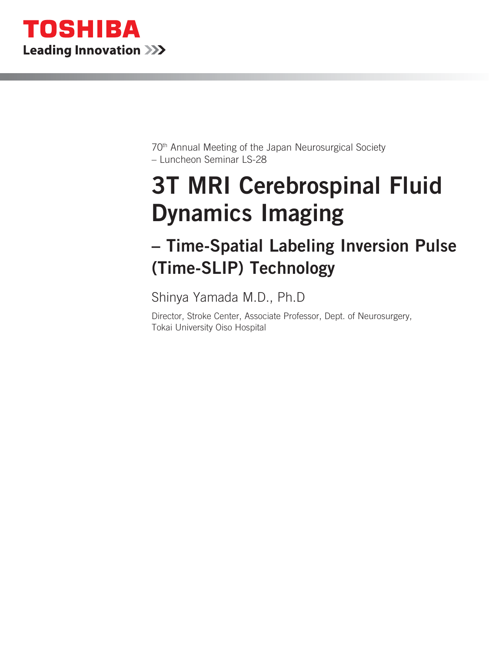

70th Annual Meeting of the Japan Neurosurgical Society – Luncheon Seminar LS-28

# 3T MRI Cerebrospinal Fluid Dynamics Imaging

## – Time-Spatial Labeling Inversion Pulse (Time-SLIP) Technology

Shinya Yamada M.D., Ph.D

Director, Stroke Center, Associate Professor, Dept. of Neurosurgery, Tokai University Oiso Hospital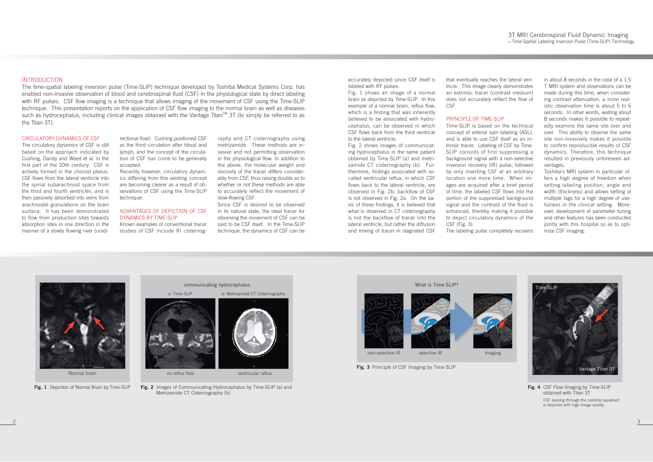#### INTRODUCTION

The circulatory dynamics of CSF is still based on the approach indicated by Cushing, Dandy and Weed et al. in the first part of the 20th century. CSF is actively formed in the choroid plexus. CSF flows from the lateral ventricle into the spinal subarachnoid space from the third and fourth ventricles, and is then passively absorbed into veins from arachnoidal granulations on the brain surface. It has been demonstrated to flow from production sites towards absorption sites in one direction in the manner of a slowly flowing river (unidi-

The time-spatial labeling inversion pulse (Time-SLIP) technique developed by Toshiba Medical Systems Corp. has enabled non-invasive observation of blood and cerebrospinal fluid (CSF) in the physiological state by direct labeling with RF pulses. CSF flow imaging is a technique that allows imaging of the movement of CSF using the Time-SLIP technique. This presentation reports on the application of CSF flow imaging to the normal brain as well as diseases such as hydrocephalus, including clinical images obtained with the Vantage Titan<sup>TM</sup> 3T (to simply be referred to as the Titan 3T).

#### CIRCULATORY DYNAMICS OF CSF

rectional flow). Cushing positioned CSF as the third circulation after blood and lymph, and the concept of the circulation of CSF has come to be generally accepted. Recently however, circulatory dynam-

ics differing from this existing concept are becoming clearer as a result of ob servations of CSF using the Time-SLIP<br>technique.<br>ADVANTAGES OF DEPICTION OF CSF<br>DYNAMICS BY TIME-SLIP

rectional flow). Cushing positioned CSF raphy and CT cisternography using<br>as the third circulation after blood and metrizamide. These methods are in-<br>lymph, and the concept of the circula-<br>in the physiological flow. In add

accurately depicted since CSF itself is labeled with RF pulses.

Fig. 1 shows an image of a normal brain as depicted by Time-SLIP. In this example of a normal brain, reflux flow, which is a finding that was inherently believed to be associated with hydrocephalus, can be observed in which CSF flows back from the third ventricle to the lateral ventricle.

Fig. 2 shows images of communicating hydrocephalus in the same patient obtained by Time-SLIP (a) and metrizamide CT cisternography (b). Furthermore, findings associated with socalled ventricular reflux, in which CSF flows back to the lateral ventricle, are observed in Fig. 2b, backflow of CSF is not observed in Fig. 2a. On the basis of these findings, it is believed that what is observed in CT cisternography is not the backflow of tracer into the lateral ventricle, but rather the diffusion and mixing of tracer in stagnated CSF

that eventually reaches the lateral ventricle. This image clearly demonstrates an extrinsic tracer (contrast medium) does not accurately reflect the flow of CSF.

## PRINCIPLE OF TIME-SLIP

Time-SLIP is based on the technical concept of arterial spin labeling (ASL), and is able to use CSF itself as an intrinsic tracer. Labeling of CSF by Time-SLIP consists of first suppressing a background signal with a non-selective inversion recovery (IR) pulse, followed by only inverting CSF at an arbitrary location one more time. When images are acquired after a brief period of time, the labeled CSF flows into the portion of the suppressed background signal and the contrast of the fluid is enhanced, thereby making it possible to depict circulatory dynamics of the CSF (Fig. 3).

The labeling pulse completely recovers

in about 8 seconds in the case of a 1.5 T MRI system and observations can be made during this time, when considering contrast attenuation, a more realistic observation time is about 5 to 6 seconds. In other words, waiting about 8 seconds makes it possible to repeatedly examine the same site over and over. This ability to observe the same site non-invasively makes it possible to confirm reproducible results of CSF dynamics. Therefore, this technique resulted in previously unforeseen advantages.

Toshiba's MRI system in particular offers a high degree of freedom when setting labeling position, angle and width (thickness) and allows setting of multiple tags for a high degree of usefulness in the clinical setting. Moreover, development of parameter tuning and other features has been conducted jointly with this hospital so as to optimize CSF imaging.



**Fig. 1** Depiction of Normal Brain by Time-SLIP **Fig. 2** Images of Communicating Hydrocephalus by Time-SLIP (a) and Metrizamide CT Cisternography (b)



Normal brain



**Fig. 3** Principle of CSF Imaging by Time-SLIP



**Fig. 4** CSF Flow Imaging by Time-SLIP obtained with Titan 3TCSF passing through the cerebral aqueduct is depicted with high image quality.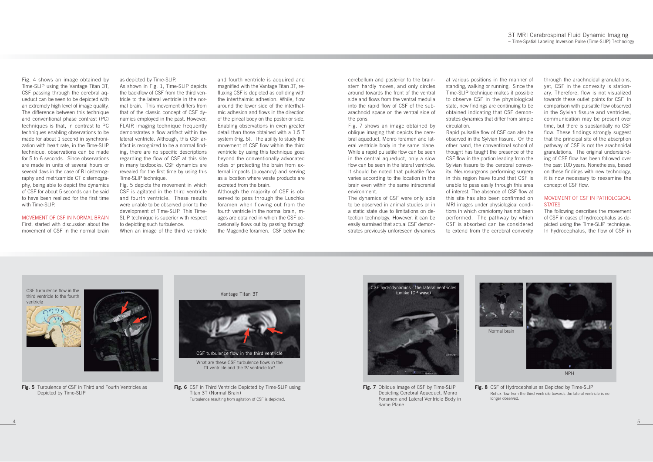Fig. 4 shows an image obtained by Time-SLIP using the Vantage Titan 3T, CSF passing through the cerebral aqueduct can be seen to be depicted with an extremely high level of image quality. The difference between this technique and conventional phase contrast (PC) techniques is that, in contrast to PC techniques enabling observations to be made for about 1 second in synchronization with heart rate, in the Time-SLIP technique, observations can be made for 5 to 6 seconds. Since observations are made in units of several hours or several days in the case of RI cisternography and metrizamide CT cisternography, being able to depict the dynamics of CSF for about 5 seconds can be said to have been realized for the first time with Time-SLIP.

MOVEMENT OF CSF IN NORMAL BRAINFirst, started with discussion about the

movement of CSF in the normal brain

as depicted by Time-SLIP.

As shown in Fig. 1, Time-SLIP depicts the backflow of CSF from the third ventricle to the lateral ventricle in the normal brain. This movement differs from that of the classic concept of CSF dynamics employed in the past. However, FLAIR imaging technique frequently demonstrates a flow artifact within the lateral ventricle. Although, this CSF artifact is recognized to be a normal finding, there are no specific descriptions regarding the flow of CSF at this site in many textbooks. CSF dynamics are revealed for the first time by using this Time-SLIP technique.

Fig. 5 depicts the movement in which CSF is agitated in the third ventricle and fourth ventricle. These results were unable to be observed prior to the development of Time-SLIP. This Time-SLIP technique is superior with respect to depicting such turbulence. When an image of the third ventricle

and fourth ventricle is acquired and magnified with the Vantage Titan 3T, refluxing CSF is depicted as colliding with the interthalmic adhesion. While, flow around the lower side of the interthalmic adhesion and flows in the direction of the pineal body on the posterior side. Enabling observations in even greater detail than those obtained with a 1.5 T system (Fig. 6). The ability to study the movement of CSF flow within the third ventricle by using this technique goes beyond the conventionally advocated roles of protecting the brain from external impacts (buoyancy) and serving as a location where waste products are excreted from the brain.

Rapid pulsatile flow of CSF can also be observed in the Sylvian fissure. On the other hand, the conventional school of thought has taught the presence of the CSF flow in the portion leading from the Sylvian fissure to the cerebral convexity. Neurosurgeons performing surgery in this region have found that CSF is unable to pass easily through this area of interest. The absence of CSF flow at this site has also been confirmed on MRI images under physiological conditions in which craniotomy has not been performed. The pathway by which CSF is absorbed can be considered to extend from the cerebral convexity

through the arachnoidal granulations, yet, CSF in the convexity is stationary. Therefore, flow is not visualized towards these outlet points for CSF. In comparison with pulsatile flow observed in the Sylvian fissure and ventricles, communication may be present over time, but there is substantially no CSF flow. These findings strongly suggest that the principal site of the absorption pathway of CSF is not the arachnoidal granulations. The original understanding of CSF flow has been followed over the past 100 years. Nonetheless, based on these findings with new technology. it is now necessary to reexamine the concept of CSF flow.

### MOVEMENT OF CSF IN PATHOLOGICAL **STATES**

Although the majority of CSF is observed to pass through the Luschka foramen when flowing out from the fourth ventricle in the normal brain, images are obtained in which the CSF occasionally flows out by passing through the Magendie foramen. CSF below the

cerebellum and posterior to the brainstem hardly moves, and only circles around towards the front of the ventral side and flows from the ventral medulla into the rapid flow of CSF of the subarachnoid space on the ventral side of the pons.

> **Fig. 7** Oblique Image of CSF by Time-SLIP Depicting Cerebral Aqueduct, Monro Foramen and Lateral Ventricle Body in Same Plane

Fig. 7 shows an image obtained by oblique imaging that depicts the cerebral aqueduct, Monro foramen and lateral ventricle body in the same plane. While a rapid pulsatile flow can be seen in the central aqueduct, only a slow flow can be seen in the lateral ventricle. It should be noted that pulsatile flow varies according to the location in the brain even within the same intracranial environment.

The dynamics of CSF were only able to be observed in animal studies or in a static state due to limitations on detection technology. However, it can be easily surmised that actual CSF demonstrates previously unforeseen dynamics

at various positions in the manner of standing, walking or running. Since the Time-SLIP technique makes it possible to observe CSF in the physiological state, new findings are continuing to be obtained indicating that CSF demonstrates dynamics that differ from simple circulation.

> The following describes the movement of CSF in cases of hydrocephalus as depicted using the Time-SLIP technique. In hydrocephalus, the flow of CSF in



**Fig. 5** Turbulence of CSF in Third and Fourth Ventricles as Depicted by Time-SLIP

CSF turbulence flow in the third ventricle to the fourth ventricle





**Fig. 6** CSF in Third Ventricle Depicted by Time-SLIP using Titan 3T (Normal Brain) Turbulence resulting from agitation of CSF is depicted.

Vantage Titan 3T



What are these CSF turbulence flows in the III ventricle and the IV ventricle for?



**Fig. 8** CSF of Hydrocephalus as Depicted by Time-SLIP Reflux flow from the third ventricle towards the lateral ventricle is no longer observed.



iNPH

Normal brain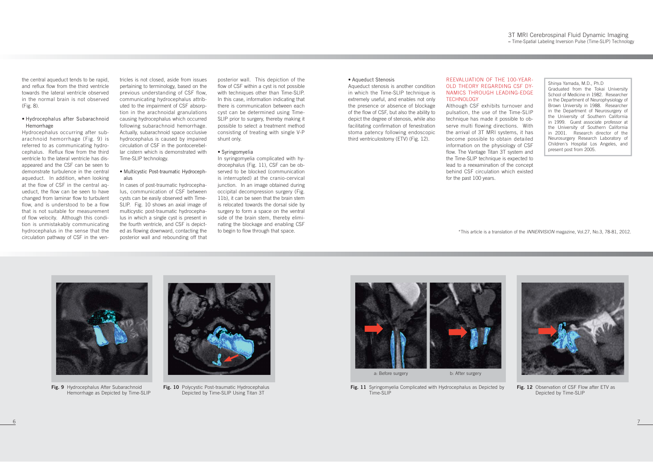Shinya Yamada, M.D., Ph.D Graduated from the Tokai University School of Medicine in 1982. Researcher in the Department of Neurophysiology of Brown University in 1988. Researcher in the Department of Neurosurgery of the University of Southern California in 1999. Guest associate professor at the University of Southern California in 2001. Research director of the Neurosurgery Research Laboratory of Children's Hospital Los Angeles, and present post from 2005.

the central aqueduct tends to be rapid, and reflux flow from the third ventricle towards the lateral ventricle observed in the normal brain is not observed (Fig. 8).

tricles is not closed, aside from issues pertaining to terminology, based on the previous understanding of CSF flow, communicating hydrocephalus attrib uted to the impairment of CSF absorp tion in the arachnoidal granulations causing hydrocephalus which occurred following subarachnoid hemorrhage. Actually, subarachnoid space occlusive hydrocephalus is caused by impaired circulation of CSF in the pontocerebel lar cistern which is demonstrated with Time-SLIP technology. Tricke is not closed, aside from Issues (and the mission) that depiction of the Aqueduct stenosis is another condition<br>perchaining to terminology, based on the flow of CSF within a cyst is not possible<br>communicating the co

#### • Hydrocephalus after Subarachnoid Hemorrhage

Hydrocephalus occurring after subarachnoid hemorrhage (Fig. 9) is referred to as communicating hydrocephalus. Reflux flow from the third ventricle to the lateral ventricle has disappeared and the CSF can be seen to demonstrate turbulence in the central aqueduct. In addition, when looking at the flow of CSF in the central aqueduct, the flow can be seen to have changed from laminar flow to turbulent flow, and is understood to be a flow that is not suitable for measurement of flow velocity. Although this condition is unmistakably communicating hydrocephalus in the sense that the circulation pathway of CSF in the ven-



**Fig. 9** Hydrocephalus After Subarachnoid Hemorrhage as Depicted by Time-SLIP



**Fig. 10** Polycystic Post-traumatic Hydrocephalus Depicted by Time-SLIP Using Titan 3T

**Fig. 12** Observation of CSF Flow after ETV as Depicted by Time-SLIP

## REEVALUATION OF THE 100-YEAR-OLD THEORY REGARDING CSF DY-NAMICS THROUGH LEADING-EDGE **TECHNOLOGY**

#### • Multicystic Post-traumatic Hydroceph alus

In cases of post-traumatic hydrocepha lus, communication of CSF between cysts can be easily observed with Time- SLIP. Fig. 10 shows an axial image of multicystic post-traumatic hydrocepha lus in which a single cyst is present in the fourth ventricle, and CSF is depict-



**Fig. 11** Syringomyelia Complicated with Hydrocephalus as Depicted by Time-SLIP

Although CSF exhibits turnover and pulsation, the use of the Time-SLIP technique has made it possible to observe multi flowing directions. With the arrival of 3T MRI systems, it has become possible to obtain detailed information on the physiology of CSF flow. The Vantage Titan 3T system and the Time-SLIP technique is expected to lead to a reexamination of the concept behind CSF circulation which existed for the past 100 years.

\*This article is a translation of the INNERVISION magazine, Vol.27, No.3, 78-81, 2012.